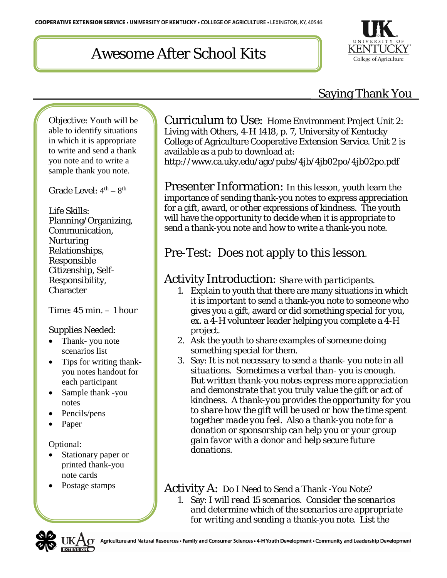# Awesome After School Kits



### Saying Thank You

Objective: Youth will be able to identify situations in which it is appropriate to write and send a thank you note and to write a sample thank you note.

Grade Level:  $4<sup>th</sup> - 8<sup>th</sup>$ 

Life Skills: Planning/Organizing, Communication, **Nurturing** Relationships, Responsible Citizenship, Self-Responsibility, **Character** 

Time: 45 min. – 1 hour

#### Supplies Needed:

- Thank- you note scenarios list
- Tips for writing thankyou notes handout for each participant
- Sample thank -you notes
- Pencils/pens
- Paper

Optional:

- Stationary paper or printed thank-you note cards
- Postage stamps

Curriculum to Use: Home Environment Project Unit 2: Living with Others, 4-H 1418, p. 7, University of Kentucky College of Agriculture Cooperative Extension Service. Unit 2 is available as a pub to download at: http://www.ca.uky.edu/agc/pubs/4jb/4jb02po/4jb02po.pdf

Presenter Information: In this lesson, youth learn the importance of sending thank-you notes to express appreciation for a gift, award, or other expressions of kindness. The youth will have the opportunity to decide when it is appropriate to send a thank-you note and how to write a thank-you note.

## Pre-Test: Does not apply to this lesson*.*

#### Activity Introduction: *Share with participants.*

- 1. Explain to youth that there are many situations in which it is important to send a thank-you note to someone who gives you a gift, award or did something special for you, ex. a 4-H volunteer leader helping you complete a 4-H project.
- 2. Ask the youth to share examples of someone doing something special for them.
- *3.* Say: *It is not necessary to send a thank- you note in all situations. Sometimes a verbal than- you is enough. But written thank-you notes express more appreciation and demonstrate that you truly value the gift or act of kindness. A thank-you provides the opportunity for you to share how the gift will be used or how the time spent together made you feel. Also a thank-you note for a donation or sponsorship can help you or your group gain favor with a donor and help secure future donations.*

### Activity A: Do I Need to Send a Thank -You Note?

*1.* Say: *I will read 15 scenarios. Consider the scenarios and determine which of the scenarios are appropriate for writing and sending a thank-you note. List the* 

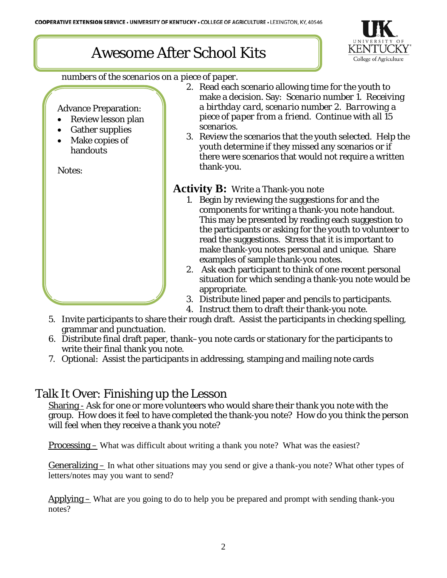## Awesome After School Kits



*numbers of the scenarios on a piece of paper.*

Advance Preparation:

- Review lesson plan
- Gather supplies
- Make copies of handouts

Notes:

- *2.* Read each scenario allowing time for the youth to make a decision. Say: *Scenario number 1. Receiving a birthday card, scenario number 2. Barrowing a piece of paper from a friend.* Continue with all 15 scenarios.
- *3.* Review the scenarios that the youth selected. Help the youth determine if they missed any scenarios or if there were scenarios that would not require a written thank-you.

#### **Activity B:** Write a Thank-you note

- 1. Begin by reviewing the suggestions for and the components for writing a thank-you note handout. This may be presented by reading each suggestion to the participants or asking for the youth to volunteer to read the suggestions. Stress that it is important to make thank-you notes personal and unique. Share examples of sample thank-you notes.
- 2. Ask each participant to think of one recent personal situation for which sending a thank-you note would be appropriate.
- 3. Distribute lined paper and pencils to participants.
- 4. Instruct them to draft their thank-you note.
- 5. Invite participants to share their rough draft. Assist the participants in checking spelling, grammar and punctuation.
- 6. Distribute final draft paper, thank–you note cards or stationary for the participants to write their final thank you note.
- 7. Optional: Assist the participants in addressing, stamping and mailing note cards

### Talk It Over: Finishing up the Lesson

Sharing - Ask for one or more volunteers who would share their thank you note with the group. How does it feel to have completed the thank-you note? How do you think the person will feel when they receive a thank you note?

Processing – What was difficult about writing a thank you note? What was the easiest?

Generalizing – In what other situations may you send or give a thank-you note? What other types of letters/notes may you want to send?

 $Applying - What are you going to do to help you be prepared and prompt with sending thank you$ notes?